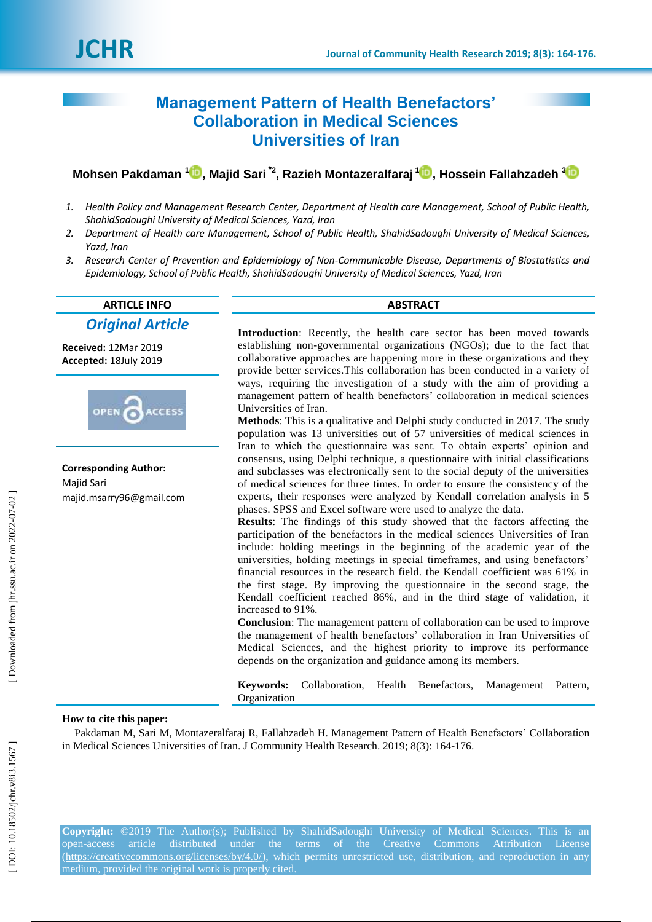# **Management Pattern of Health Benefactors' Collaboration in Medical Sciences Universities of Iran**

# **Mohsen Pakdaman 1 [,](https://orcid.org/0000-0001-6860-5215) Majid Sari \* 2 , Razieh Montazeralfaraj [1](https://orcid.org/0000-0001-9450-1399) , Hossein Fallahzadeh [3](https://orcid.org/0000-0001-6518-366X)**

- *1. Health Policy and Management Research Center, Department of Health care Management, School of Public Health, ShahidSadoughi University of Medical Sciences, Yazd, Iran*
- *2. Department of Health care Management, School of Public Health, ShahidSadoughi University of Medical Sciences, Yazd, Iran*
- *3. Research Center of Prevention and Epidemiology of Non -Communicable Disease, Departments of Biostatistics and Epidemiology, School of Public Health, ShahidSadoughi University of Medical Sciences, Yazd, Iran*

# **ARTICLE INFO ABSTRACT** *Original Article*

**Received:**  12Mar 201 9 **Accepted:** 18July 201 9



**Corresponding Author:** Majid Sari majid.msarry96@gmail.com

**Introduction**: Recently, the health care sector has been moved towards establishing non -governmental organizations (NGOs); due to the fact that collaborative approaches are happening more in these organizations and they provide better services.This collaboration has been conducted in a variety of ways, requiring the investigation of a study with the aim of providing a management pattern of health benefactors' collaboration in medical sciences Universities of Iran.

**Method s**: This is a qualitative and Delphi study conducted in 2017. The study population was 13 universities out of 57 universities of medical sciences in Iran to which the questionnaire was sent. To obtain experts' opinion and consensus, using Delphi technique, a questionnaire with initial classifications and subclasses was electronically sent to the social deputy of the universities of medical sciences for three times. In order to ensure the consistency of the experts, their responses were analyzed by Kendall correlation analysis in 5 phases. SPSS and Excel software were used to analyze the data.

**Results**: The findings of this study showed that the factors affecting the participation of the benefactors in the medical sciences Universities of Iran include: holding meetings in the beginning of the academic year of the universities, holding meetings in special timeframes, and using benefactors' financial resources in the research field. the Kendall coefficient was 61% in the first stage. By improving the questionnaire in the second stage, the Kendall coefficient reached 86%, and in the third stage of validation, it increased to 91%.

**Conclusion**: The management pattern of collaboration can be used to improve the management of health benefactors' collaboration in Iran Universities of Medical Sciences, and the highest priority to improve its performance depends on the organization and guidance among its members.

**Keywords:** Collaboration, Health Benefactors, Management Pattern, Organization

#### **How to cite this paper:**

Pakdaman M, Sari M, Montazeralfaraj R, Fallahzadeh H. Management Pattern of Health Benefactors' Collaboration in Medical Sciences Universities of Iran. J Community Health Research. 2019; 8( 3): 164 -176 .

**Copyright:** ©2019 The Author(s); Published by ShahidSadoughi University of Medical Sciences. This is an open -access article distributed under the terms of the Creative Commons Attribution License [\(https://creativecommons.org/licenses/by/4.0/\)](https://creativecommons.org/licenses/by/4.0/), which permits unrestricted use, distribution, and reproduction in any medium, provided the original work is properly cited.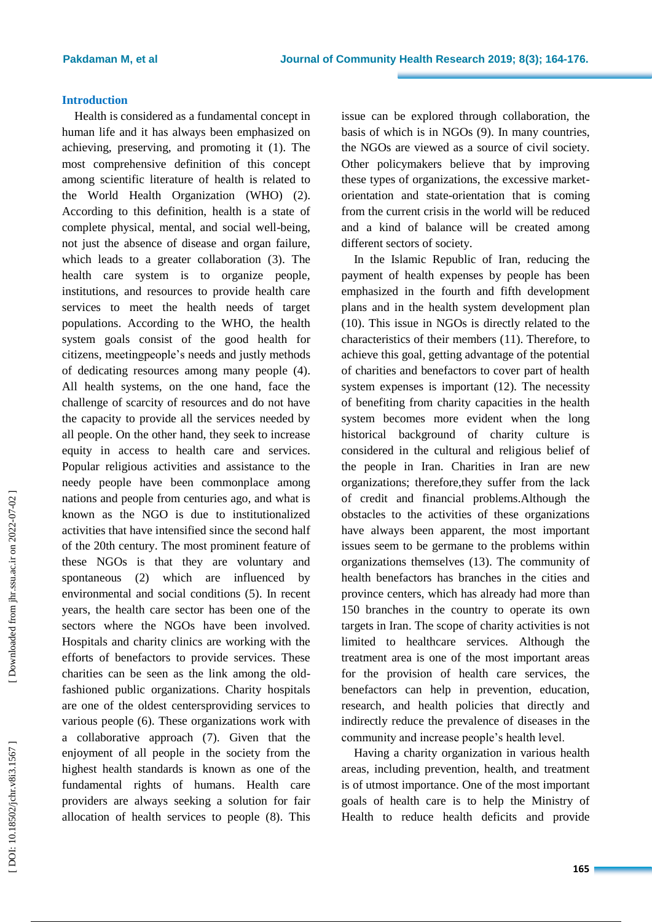## **Introduction**

Health is considered as a fundamental concept in human life and it has always been emphasized on achieving, preserving, and promoting it ( 1). The most comprehensive definition of this concept among scientific literature of health is related to the World Health Organization (WHO) ( 2 ). According to this definition, health is a state of complete physical, mental, and social well -being, not just the absence of disease and organ failure, which leads to a greater collaboration ( 3). The health care system is to organize people, institutions, and resources to provide health care services to meet the health needs of target populations. According to the WHO, the health system goals consist of the good health for citizens, meetingpeople's needs and justly methods of dedicating resources among many people ( 4). All health systems, on the one hand, face the challenge of scarcity of resources and do not have the capacity to provide all the services needed by all people. On the other hand, they seek to increase equity in access to health care and services. Popular religious activities and assistance to the needy people have been commonplace among nations and people from centuries ago, and what is known as the NGO is due to institutionalized activities that have intensified since the second half of the 20th century. The most prominent feature of these NGOs is that they are voluntary and spontaneous (2) which are influenced by environmental and social conditions ( 5). In recent years, the health care sector has been one of the sectors where the NGOs have been involved. Hospitals and charity clinics are working with the efforts of benefactors to provide services. These charities can be seen as the link among the old fashioned public organizations . Charity hospitals are one of the oldest centersproviding services to various people ( 6). These organizations work with a collaborative approach ( 7). Given that the enjoyment of all people in the society from the highest health standards is known as one of the fundamental rights of humans. Health care providers are always seeking a solution for fair allocation of health services to people ( 8). This issue can be explored through collaboration, the basis of which is in NGOs ( 9). In many countries, the NGOs are viewed as a source of civil society. Other policymakers believe that by improving these types of organizations, the excessive market orientation and state -orientation that is coming from the current crisis in the world will be reduced and a kind of balance will be created among different sectors of society.

In the Islamic Republic of Iran, reducing the payment of health expenses by people has been emphasized in the fourth and fifth development plans and in the health system development plan (10). This issue in NGOs is directly related to the characteristics of their members (11). Therefore, to achieve this goal, getting advantage of the potential of charities and benefactors to cover part of health system expenses is important (12). The necessity of benefiting from charity capacities in the health system becomes more evident when the long historical background of charity culture is considered in the cultural and religious belief of the people in Iran. Charities in Iran are new organizations; therefore,they suffer from the lack of credit and financial problems.Although the obstacles to the activities of these organizations have always been apparent, the most important issues seem to be germane to the problems within organizations themselves (13). The community of health benefactors has branches in the cities and province centers, which has already had more than 150 branches in the country to operate its own targets in Iran. The scope of charity activities is not limited to healthcare services. Although the treatment area is one of the most important areas for the provision of health care services, the benefactors can help in prevention, education, research, and health policies that directly and indirectly reduce the prevalence of diseases in the community and increase people's health level.

Having a charity organization in various health areas, including prevention, health, and treatment is of utmost importance. One of the most important goals of health care is to help the Ministry of Health to reduce health deficits and provide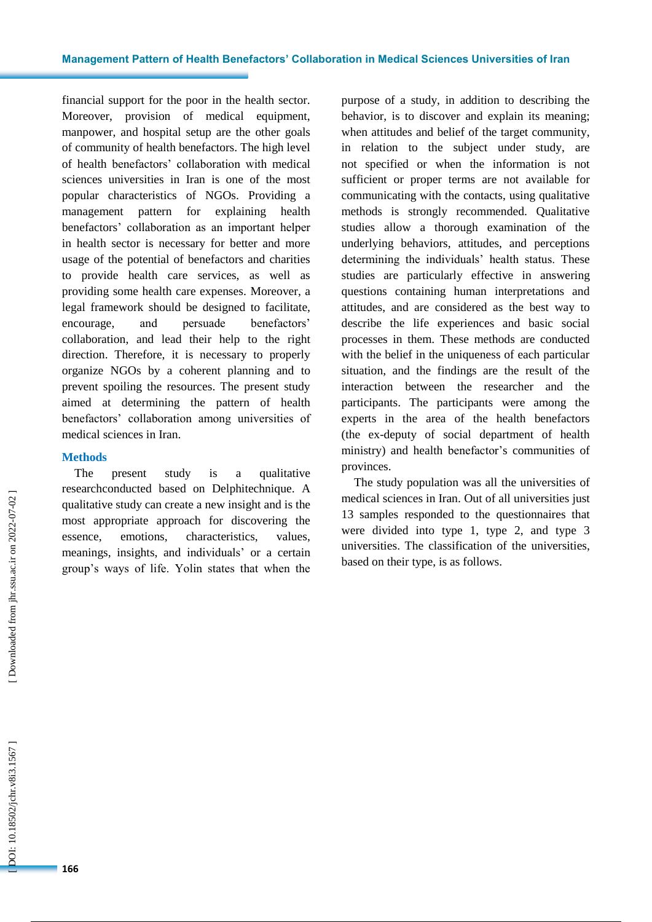financial support for the poor in the health sector. Moreover, provision of medical equipment, manpower, and hospital setup are the other goals of community of health benefactors. The high level of health benefactors' collaboration with medical sciences universities in Iran is one of the most popular characteristics of NGOs . Providing a management pattern for explaining health benefactors' collaboration as an important helper in health sector is necessary for better and more usage of the potential of benefactors and charities to provide health care services, as well as providing some health care expenses. Moreover, a legal framework should be designed to facilitate, encourage , and persuade benefactors' collaboration, and lead their help to the right direction. Therefore, it is necessary to properly organize NGOs by a coherent planning and to prevent spoiling the resources. The present study aimed at determining the pattern of health benefactors' collaboration among universities of medical sciences in Iran.

# **Method s**

The present study is a qualitative researchconducted based on Delphitechnique. A qualitative study can create a new insight and is the most appropriate approach for discovering the essence, emotions, characteristics, values, meanings, insights, and individuals' or a certain group's ways of life. Yolin states that when the purpose of a study, in addition to describing the behavior, is to discover and explain its meaning ; when attitudes and belief of the target community , in relation to the subject under study , are not specified or when the information is not sufficient or proper terms are not available for communicating with the contacts, using qualitative methods is strongly recommended. Qualitative studies allow a thorough examination of the underlying behaviors, attitudes, and perceptions determining the individuals' health status. These studies are particularly effective in answering questions containing human interpretations and attitudes, and are considered as the best way to describe the life experiences and basic social processes in them. These methods are conducted with the belief in the uniqueness of each particular situation, and the findings are the result of the interaction between the researcher and the participants. The participants were among the experts in the area of the health benefactors (the ex -deputy of social department of health ministry) and health benefactor' s communities of provinces.

The study population was all the universities of medical sciences in Iran. Out of all universities just 13 samples responded to the questionnaires that were divided into type 1, type 2, and type 3 universities. The classification of the universities , based on their type , is as follows.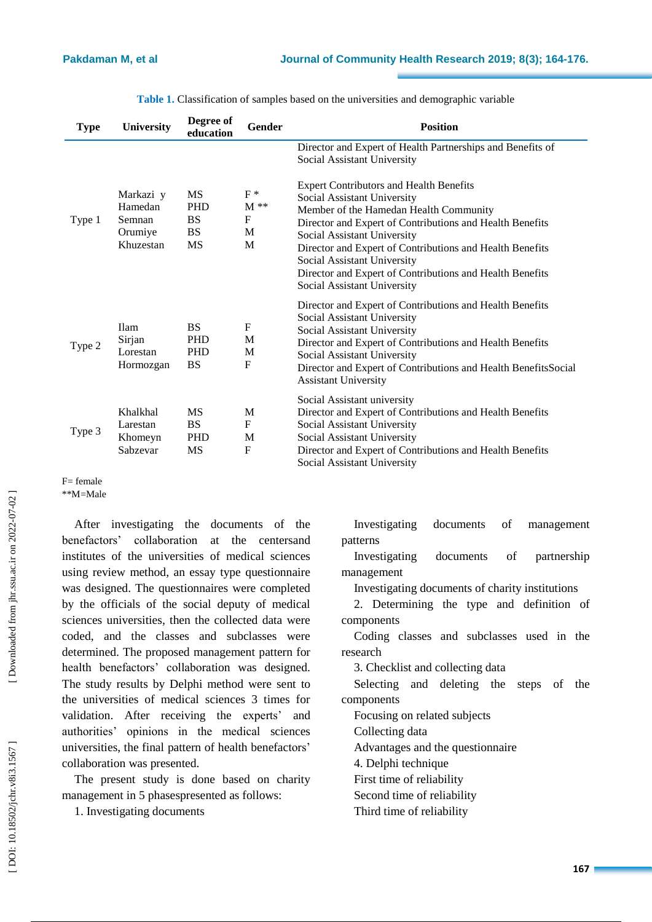| <b>Type</b> | <b>University</b>                                      | Degree of<br>education                                         | Gender                                   | <b>Position</b>                                                                                                                                                                                                                                                                                                                                                                                          |
|-------------|--------------------------------------------------------|----------------------------------------------------------------|------------------------------------------|----------------------------------------------------------------------------------------------------------------------------------------------------------------------------------------------------------------------------------------------------------------------------------------------------------------------------------------------------------------------------------------------------------|
|             |                                                        |                                                                |                                          | Director and Expert of Health Partnerships and Benefits of<br>Social Assistant University                                                                                                                                                                                                                                                                                                                |
| Type 1      | Markazi y<br>Hamedan<br>Semnan<br>Orumiye<br>Khuzestan | <b>MS</b><br><b>PHD</b><br><b>BS</b><br><b>BS</b><br><b>MS</b> | $F^*$<br>$M^*$<br>$\mathbf{F}$<br>M<br>M | <b>Expert Contributors and Health Benefits</b><br>Social Assistant University<br>Member of the Hamedan Health Community<br>Director and Expert of Contributions and Health Benefits<br>Social Assistant University<br>Director and Expert of Contributions and Health Benefits<br>Social Assistant University<br>Director and Expert of Contributions and Health Benefits<br>Social Assistant University |
| Type 2      | <b>Ilam</b><br>Sirjan<br>Lorestan<br>Hormozgan         | <b>BS</b><br><b>PHD</b><br><b>PHD</b><br><b>BS</b>             | $F_{\rm}$<br>M<br>M<br>F                 | Director and Expert of Contributions and Health Benefits<br>Social Assistant University<br>Social Assistant University<br>Director and Expert of Contributions and Health Benefits<br>Social Assistant University<br>Director and Expert of Contributions and Health BenefitsSocial<br><b>Assistant University</b>                                                                                       |
| Type 3      | Khalkhal<br>Larestan<br>Khomeyn<br>Sabzevar            | <b>MS</b><br><b>BS</b><br><b>PHD</b><br><b>MS</b>              | M<br>F<br>M<br>$\mathbf F$               | Social Assistant university<br>Director and Expert of Contributions and Health Benefits<br>Social Assistant University<br>Social Assistant University<br>Director and Expert of Contributions and Health Benefits<br>Social Assistant University                                                                                                                                                         |

|  |  |  |  |  | Table 1. Classification of samples based on the universities and demographic variable |  |
|--|--|--|--|--|---------------------------------------------------------------------------------------|--|
|--|--|--|--|--|---------------------------------------------------------------------------------------|--|

#### F= female \*\*M=Male

After investigating the documents of the benefactors' collaboration at the centersand institutes of the universities of medical sciences using review method , an essay type questionnaire was designed. The questionnaires were completed by the officials of the social deputy of medical sciences universities, then the collected data were coded, and the classes and subclasses were determined. The proposed management pattern for health benefactors' collaboration was designed. The study results by Delphi method were sent to the universities of medical sciences 3 times for validation. After receiving the experts' and authorities' opinions in the medical sciences universities, the final pattern of health benefactors' collaboration was presented.

The present study is done based on charity management in 5 phasespresented as follows:

1. Investigating documents

Investigating documents of management patterns

Investigating documents of partnership management

Investigating documents of charity institutions

2. Determining the type and definition of components

Coding classes and subclasses used in the research

3. Checklist and collecting data

Selecting and deleting the steps of the components

Focus ing on related subjects

Collecting data

Advantages and the questionnaire

4. Delphi technique

First time of reliability

Second time of reliability

Third time of reliability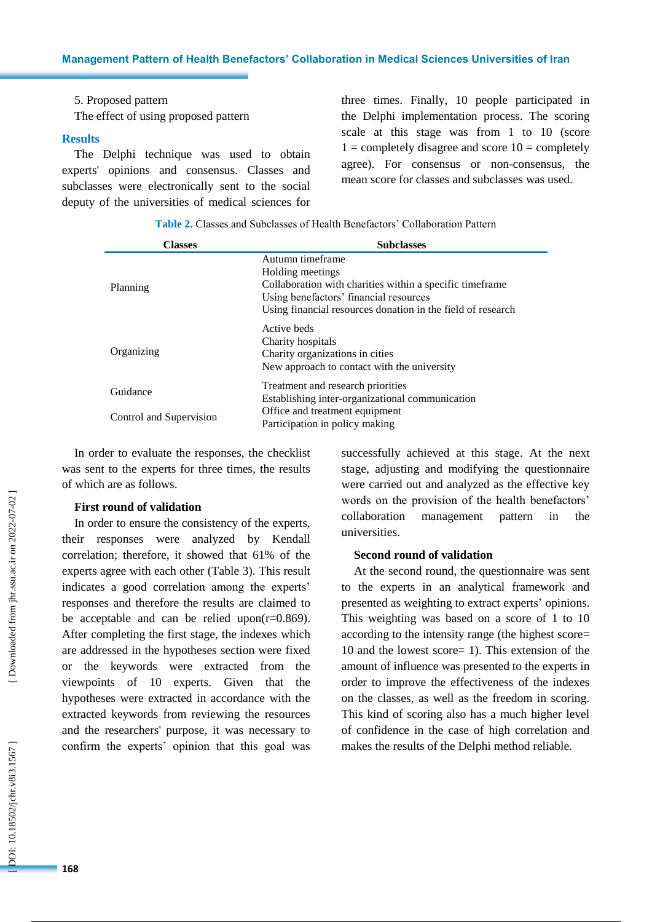## 5. Proposed pattern

The effect of using proposed pattern

#### **Results**

The Delphi technique was used to obtain experts' opinions and consensus. Classes and subclasses were electronically sent to the social deputy of the universities of medical sciences for three times. Finally, 10 people participated in the Delphi implementation process. The scoring scale at this stage was from 1 to 10 (score  $1 =$  completely disagree and score  $10 =$  completely agree). For consensus or non -consensus, the mean score for classes and subclasses was used.

**Table 2 .** Classes and Subclasses of Health Benefactors' Collaboration Pattern

| <b>Classes</b>          | <b>Subclasses</b>                                                                                                                                                                                          |
|-------------------------|------------------------------------------------------------------------------------------------------------------------------------------------------------------------------------------------------------|
| Planning                | Autumn timeframe<br>Holding meetings<br>Collaboration with charities within a specific time frame<br>Using benefactors' financial resources<br>Using financial resources donation in the field of research |
| Organizing              | Active beds<br>Charity hospitals<br>Charity organizations in cities<br>New approach to contact with the university                                                                                         |
| Guidance                | Treatment and research priorities<br>Establishing inter-organizational communication                                                                                                                       |
| Control and Supervision | Office and treatment equipment<br>Participation in policy making                                                                                                                                           |

In order to evaluate the responses, the checklist was sent to the experts for three times, the results of which are as follows.

#### **First round of validation**

In order to ensure the consistency of the experts, their responses were analyzed by Kendall correlation; therefore, it showed that 61% of the experts agree with each other (Table 3). This result indicates a good correlation among the experts' responses and therefore the results are claimed to be acceptable and can be relied upon( $r=0.869$ ). After completing the first stage, the indexes which are addressed in the hypotheses section were fixed or the keywords were extracted from the viewpoints of 10 experts. Given that the hypotheses were extracted in accordance with the extracted keywords from reviewing the resources and the researchers' purpose, it was necessary to confirm the experts' opinion that this goal was

successfully achieved at this stage. At the next stage, adjusting and modifying the questionnaire were carried out and analyzed as the effective key words on the provision of the health benefactors' collaboration management pattern in the universities.

# **Second round of validation**

At the second round, the questionnaire was sent to the experts in an analytical framework and presented as weighting to extract experts' opinions. This weighting was based on a score of 1 to 10 according to the intensity range (the highest score= 10 and the lowest score= 1). This extension of the amount of influence was presented to the experts in order to improve the effectiveness of the indexes on the classes, as well as the freedom in scoring. This kind of scoring also has a much higher level of confidence in the case of high correlation and makes the results of the Delphi method reliable.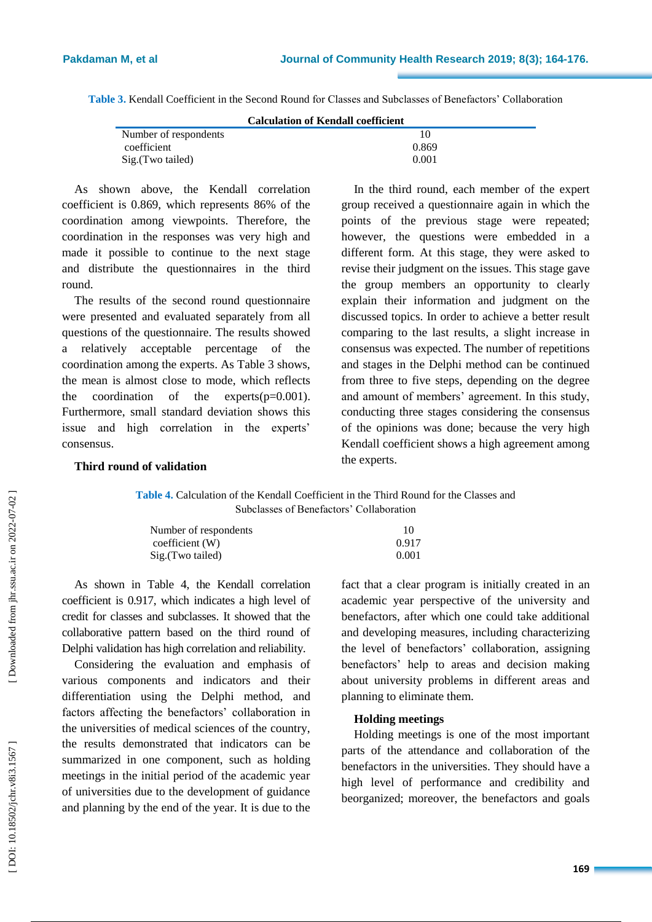**Table 3.** Kendall Coefficient in the Second Round for Classes and Subclasses of Benefactors' Collaboration

| <b>Calculation of Kendall coefficient</b> |  |
|-------------------------------------------|--|
|-------------------------------------------|--|

| Number of respondents |       |
|-----------------------|-------|
| coefficient           | 0.869 |
| Sig. (Two tailed)     | 0.001 |

As shown above, the Kendall correlation coefficient is 0.869, which represents 86% of the coordination among viewpoints. Therefore, the coordination in the responses was very high and made it possible to continue to the next stage and distribute the questionnaires in the third round.

The results of the second round questionnaire were presented and evaluated separately from all questions of the questionnaire. The results showed a relatively acceptable percentage of the coordination among the experts. As Table 3 shows, the mean is almost close to mode, which reflects the coordination of the experts(p=0.001) . Furthermore, small standard deviation shows this issue and high correlation in the experts' consensus.

In the third round, each member of the expert group received a questionnaire again in which the points of the previous stage were repeated; however, the questions were embedded in a different form. At this stage, they were asked to revise their judgment on the issues. This stage gave the group members an opportunity to clearly explain their information and judgment on the discussed topics. In order to achieve a better result comparing to the last results, a slight increase in consensus was expected. The number of repetitions and stages in the Delphi method can be continued from three to five steps, depending on the degree and amount of members' agreement. In this study, conducting three stages considering the consensus of the opinions was done; because the very high Kendall coefficient shows a high agreement among the experts.

# **Third round of validation**

**Table 4 .** Calculation of the Kendall Coefficient in the Third Round for the Classes and Subclasses of Benefactors' Collaboration

| Number of respondents | 10    |
|-----------------------|-------|
| coefficient (W)       | 0.917 |
| Sig.(Two tailed)      | 0.001 |

As shown in Table 4, the Kendall correlation coefficient is 0.917, which indicates a high level of credit for classes and subclasses . It showed that the collaborative pattern based on the third round of Delphi validation has high correlation and reliability.

Considering the evaluation and emphasis of various components and indicators and their differentiation using the Delphi method, an d factors affecting the benefactors' collaboration in the universities of medical sciences of the country, the results demonstrated that indicators can be summarized in one component, such as holding meetings in the initial period of the academic year of universities due to the development of guidance and planning by the end of the year. It is due to the fact that a clear program is initially created in an academic year perspective of the university and benefactors, after which one could take additional and developing measures, including characterizing the level of benefactors' collaboration, assigning benefactors' help to areas and decision making about university problems in different areas and planning to eliminate them.

#### **Holding meetings**

Holding meetings is one of the most important parts of the attendance and collaboration of the benefactors in the universities. They should have a high level of performance and credibility and beorganized; moreover, the benefactors and goals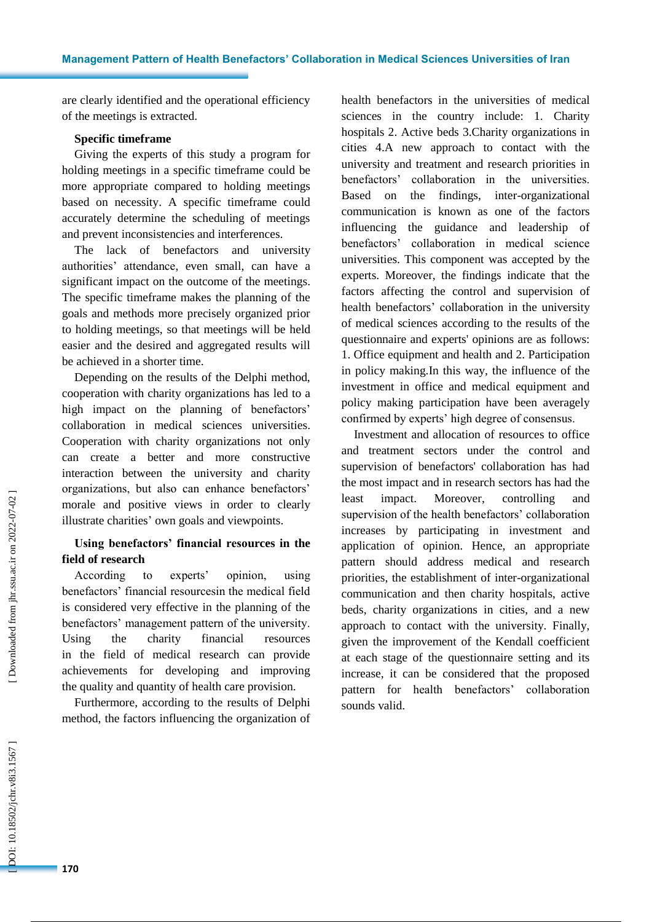are clearly identified and the operational efficiency of the meetings is extracted .

# **Specific timeframe**

Giving the experts of this study a program for holding meetings in a specific timeframe could be more appropriate compared to holding meetings based on necessity. A specific timeframe could accurately determine the scheduling of meetings and prevent inconsistencies and interferences.

The lack of benefactors and university authorities' attendance, even small, can have a significant impact on the outcome of the meetings . The specific timeframe makes the planning of the goals and methods more precisely organized prior to holding meetings, so that meetings will be held easier and the desired and aggregated results will be achieved in a shorter time.

Depending on the results of the Delphi method, cooperation with charity organizations has led to a high impact on the planning of benefactors' collaboration in medical sciences universities. Cooperation with charity organizations not only can create a better and more constructive interaction between the university and charity organizations, but also can enhance benefactors' morale and positive views in order to clearly illustrate charities ' own goals and viewpoints.

# **Using benefactors' financial resources in the field of research**

According to experts' opinion, using benefactors' financial resourcesin the medical field is considered very effective in the planning of the benefactors' management pattern of the university. Using the charity financial resources in the field of medical research can provide achievements for developing and improving the quality and quantity of health care provision.

Furthermore, according to the results of Delphi method, the factors influencing the organization of health benefactors in the universities of medical sciences in the country include: 1. Charity hospitals 2. Active beds 3.Charity organizations in cities 4.A new approach to contact with the university and treatment and research priorities in benefactors' collaboration in the universities. Based on the findings, inter-organizational communication is known as one of the factors influencing the guidance and leadership of benefactors' collaboration in medical science universities. This component was accepted by the experts. Moreover, the findings indicate that the factors affecting the control and supervision of health benefactors' collaboration in the university of medical sciences according to the results of the questionnaire and experts' opinions are as follows: 1. Office equipment and health and 2. Participation in policy making.In this way, the influence of the investment in office and medical equipment and policy making participation have been averagely confirmed by experts' high degree of consensus.

Investment and allocation of resources to office and treatment sectors under the control and supervision of benefactors' collaboration has had the most impact and in research sectors has had the least impact. Moreover, controlling and supervision of the health benefactors' collaboration increases by participating in investment and application of opinion. Hence, an appropriate pattern should address medical and research priorities, the establishment of inter -organizational communication and then charity hospitals, active beds, charity organizations in cities, and a new approach to contact with the university. Finally, given the improvement of the Kendall coefficient at each stage of the questionnaire setting and its increase, it can be considered that the proposed pattern for health benefactors' collaboration sounds valid.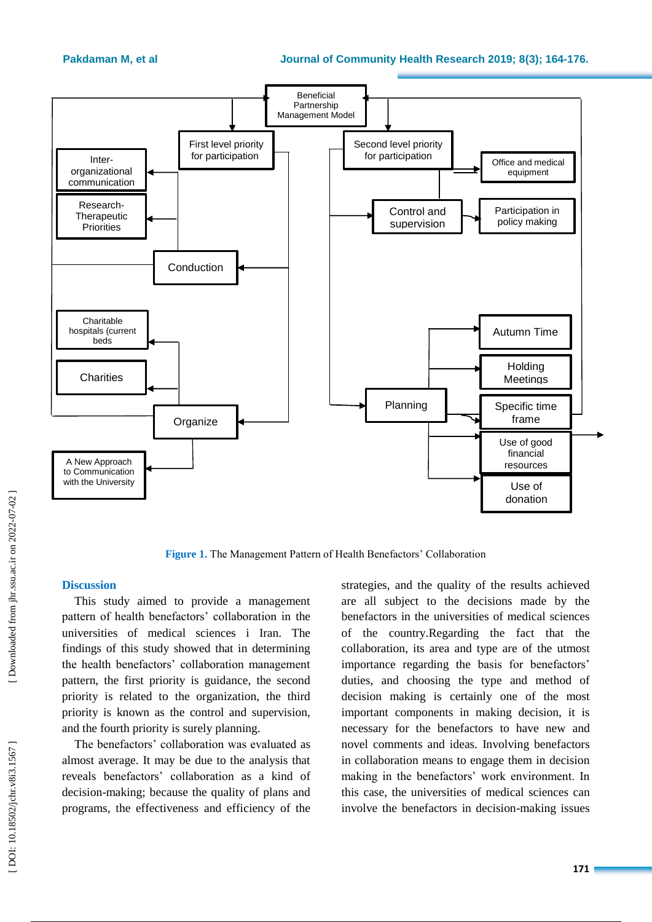

**Figure 1 .** The Management Pattern of Health Benefactors' Collaboration

## **Discussion**

This study aimed to provide a management pattern of health benefactors' collaboration in the universities of medical sciences i Iran. The findings of this study showed that in determining the health benefactors' collaboration management pattern , the first priority is guidance, the second priority is related to the organization, the third priority is known as the control and supervision, and the fourth priority is surely planning.

The benefactors' collaboration was evaluated as almost average. It may be due to the analysis that reveals benefactors' collaboration as a kind of decision -making; because the quality of plans and programs, the effectiveness and efficiency of the

strategies , and the quality of the results achieved are all subject to the decisions made by the benefactors in the universities of medical sciences of the country.Regarding the fact that the collaboration, its area and type are of the utmost importance regarding the basis for benefactors' duties, and choosing the type and method of decision making is certainly one of the most important components in making decision, it is necessary for the benefactors to have new and novel comments and ideas. Involving benefactors in collaboration means to engage them in decision making in the benefactors' work environment. In this case, the universities of medical sciences can involve the benefactors in decision -making issues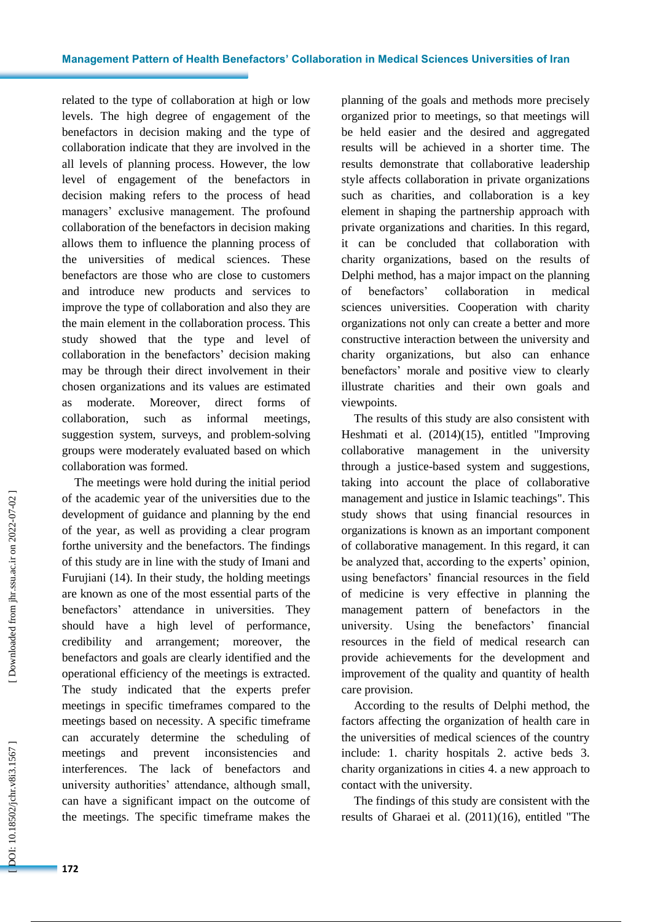#### **Management Pattern of Health Benefactors' Collaboration in Medical Sciences Universities of Iran**

related to the type of collaboration at high or low levels. The high degree of engagement of the benefactors in decision making and the type of collaboration indicate that they are involved in the all levels of planning process. However, the low level of engagement of the benefactors in decision making refers to the process of head managers' exclusive management. The profound collaboration of the benefactors in decision making allows them to influence the planning process of the universities of medical sciences. These benefactors are those who are close to customers and introduce new products and services to improve the type of collaboration and also they are the main element in the collaboration process. This study showed that the type and level of collaboration in the benefactors' decision making may be through their direct involvement in their chosen organizations and its values are estimated as moderate. Moreover, direct forms of collaboration, such as informal meetings, suggestion system, surveys, and problem -solving groups were moderately evaluated based on which collaboration was formed.

The meetings were hold during the initial period of the academic year of the universities due to the development of guidance and planning by the end of the year, as well as providing a clear program forthe university and the benefactors . The findings of this study are in line with the study of Imani and Furujiani (14). In their study, the holding meetings are known as one of the most essential parts of the benefactors' attendance in universities. They should have a high level of performance, credibility and arrangement; moreover, the benefactors and goals are clearly identified and the operational efficiency of the meetings is extracted. The study indicated that the experts prefer meetings in specific timeframes compared to the meetings based on necessity. A specific timeframe can accurately determine the scheduling of meetings and prevent inconsistencies and interferences. The lack of benefactors and university authorities' attendance, although small, can have a significant impact on the outcome of the meetings. The specific timeframe makes the

planning of the goals and methods more precisely organized prior to meetings, so that meetings will be held easier and the desired and aggregated results will be achieved in a shorter time. The results demonstrate that collaborative leadership style affects collaboration in private organizations such as charities, and collaboration is a key element in shaping the partnership approach with private organizations and charities. In this regard, it can be concluded that collaboration with charity organizations, based on the results of Delphi method, has a major impact on the planning of benefactors' collaboration in medical sciences universities. Cooperation with charity organizations not only can create a better and more constructive interaction between the university and charity organizations, but also can enhance benefactors' morale and positive view to clearly illustrate charities and their own goals and viewpoints.

The results of this study are also consistent with Heshmati et al. (2014 )(15), entitled "Improving collaborative management in the university through a justice -based system and suggestions, taking into account the place of collaborative management and justice in Islamic teachings". This study shows that using financial resources in organizations is known as an important component of collaborative management. In this regard, it can be analyzed that, according to the experts' opinion, using benefactors' financial resources in the field of medicine is very effective in planning the management pattern of benefactors in the university. Using the benefactors' financial resources in the field of medical research can provide achievements for the development and improvement of the quality and quantity of health care provision.

According to the results of Delphi method, the factors affecting the organization of health care in the universities of medical sciences of the country include: 1. charity hospitals 2. active beds 3. charity organizations in cities 4. a new approach to contact with the university.

The findings of this study are consistent with the results of Gharaei et al. (2011)(16), entitled "The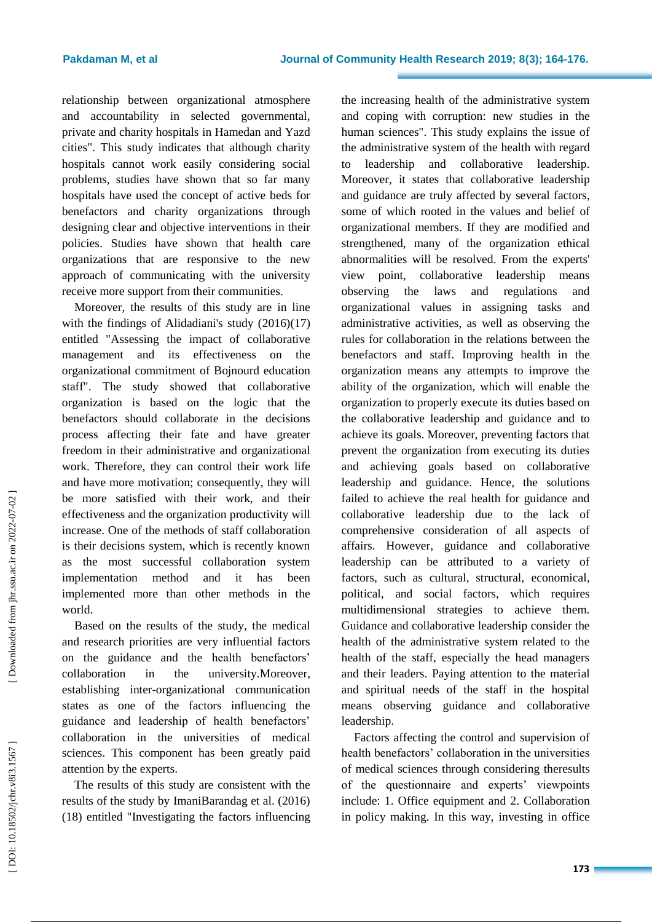relationship between organizational atmosphere and accountability in selected governmental, private and charity hospitals in Hamedan and Yazd cities". This study indicates that although charity hospitals cannot work easily considering social problems, studies have shown that so far many hospitals have used the concept of active beds for benefactors and charity organizations through designing clear and objective interventions in their policies. Studies have shown that health care organizations that are responsive to the new approach of communicating with the university receive more support from their communities.

Moreover, the results of this study are in line with the findings of Alidadiani's study (2016 )(17) entitled "Assessing the impact of collaborative management and its effectiveness on the organizational commitment of Bojnourd education staff". The study showed that collaborative organization is based on the logic that the benefactors should collaborate in the decisions process affecting their fate and have greater freedom in their administrative and organizational work. Therefore, they can control their work life and have more motivation; consequently, they will be more satisfied with their work, and their effectiveness and the organization productivity will increase . One of the methods of staff collaboration is their decisions system, which is recently known as the most successful collaboration system implementation method and it has been implemented more than other methods in the world.

Based on the results of the study, the medical and research priorities are very influential factors on the guidance and the health benefactors' collaboration in the university.Moreover, establishing inter -organizational communication states as one of the factors influencing the guidance and leadership of health benefactors' collaboration in the universities of medical sciences. This component has been greatly paid attention by the experts.

The results of this study are consistent with the results of the study by ImaniBarandag et al. (2016) (18) entitled "Investigating the factors influencing the increasing health of the administrative system and coping with corruption: new studies in the human sciences". This study explains the issue of the administrative system of the health with regard to leadership and collaborative leadership. Moreover, it states that collaborative leadership and guidance are truly affected by several factors , some of which rooted in the values and belief of organizational members . If they are modified and strengthened, many of the organization ethical abnormalities will be resolved. From the experts' view point, collaborative leadership means observing the laws and regulations and organizational values in assigning tasks and administrative activities, as well as observing the rules for collaboration in the relations between the benefactors and staff. Improving health in the organization means any attempts to improve the ability of the organization, which will enable the organization to properly execute its duties based on the collaborative leadership and guidance and to achieve its goals. Moreover, preventing factors that prevent the organization from executing its duties and achieving goals based on collaborative leadership and guidance . Hence, the solutions failed to achieve the real health for guidance and collaborative leadership due to the lack of comprehensive consideration of all aspects of affairs. However, guidance and collaborative leadership can be attributed to a variety of factors, such as cultural, structural, economical, political, and social factors, which requires multidimensional strategies to achieve them. Guidance and collaborative leadership consider the health of the administrative system related to the health of the staff, especially the head managers and their leaders. Paying attention to the material and spiritual needs of the staff in the hospital means observing guidance and collaborative leadership.

Factors affecting the control and supervision of health benefactors' collaboration in the universities of medical sciences through considering theresults of the questionnaire and experts' viewpoints include: 1. Office equipment and 2. Collaboration in policy making. In this way, investing in office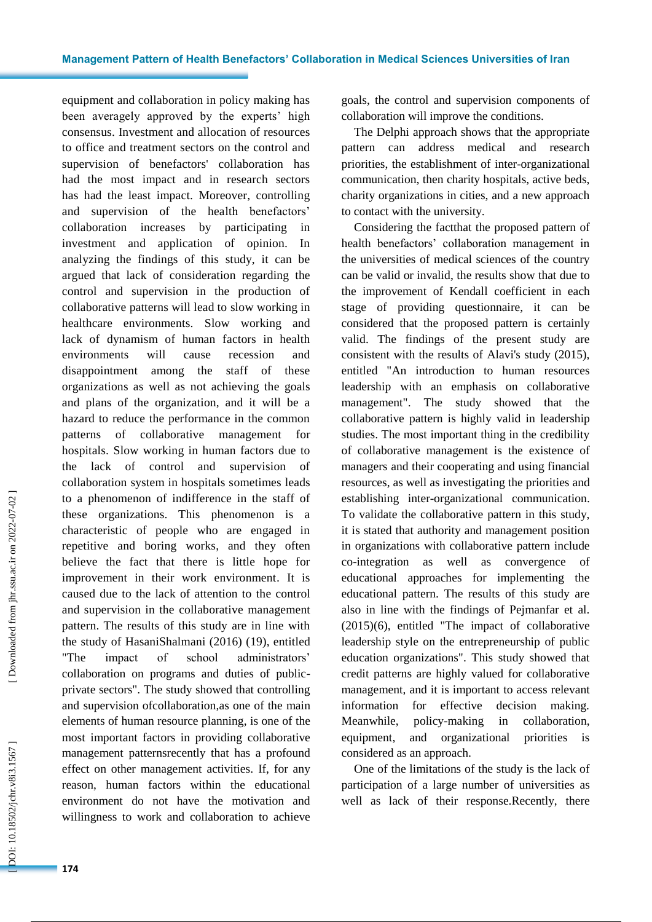equipment and collaboration in policy making has been averagely approved by the experts' high consensus. Investment and allocation of resources to office and treatment sectors on the control and supervision of benefactors' collaboration has had the most impact and in research sectors has had the least impact. Moreover, controlling and supervision of the health benefactors' collaboration increases by participating in investment and application of opinion. In analyzing the findings of this study, it can be argued that lack of consideration regarding the control and supervision in the production of collaborativ e patterns will lead to slow working in healthcare environments. S low working and lack of dynamism of human factors in health environments will cause recession and disappointment among the staff of these organizations as well as not achieving the goals and plans of the organization, and it will be a hazard to reduce the performance in the common patterns of collaborative management for hospitals. Slow working in human factors due to the lack of control and supervision of collaboration system in hospitals sometimes leads to a phenomenon of indifference in the staff of these organizations. This phenomenon is a characteristic of people who are engaged in repetitive and boring work s, and they often believe the fact that there is little hope for improvement in their work environment. It is caused due to the lack of attention to the control and supervision in the collaborative management pattern. The results of this study are in line with the study of HasaniShalmani (2016) (19), entitled "The impact of school administrators' collaboration on programs and duties of public private sectors". The study showed that controlling and supervision ofcollaboration ,as one of the main elements of human resource planning , is one of the most important factors in providing collaborative management patternsrecently that has a profound effect on other management activities. If, for any reason, human factors within the educational environment do not have the motivation and willingness to work and collaboration to achieve

goals, the control and supervision components of collaboration will improve the conditions.

The Delphi approach shows that the appropriate pattern can address medical and research priorities, the establishment of inter -organizational communication, then charity hospitals, active beds, charity organizations in cities, and a new approach to contact with the university.

Considering the factthat the proposed pattern of health benefactors' collaboration management in the universities of medical sciences of the country can be valid or invalid, the results show that due to the improvement of Kendall coefficient in each stage of providing questionnaire , it can be considered that the proposed pattern is certainly valid. The findings of the present study are consistent with the results of Alavi's study (2015), entitled "An introduction to human resources leadership with an emphasis on collaborative management". The study showed that the collaborative pattern is highly valid in leadership studies. The most important thing in the credibility of collaborative management is the existence of managers and their cooperating and using financial resources, as well as investigating the priorities and establishing inter -organizational communication. To validate the collaborative pattern in this study, it is stated that authority and management position in organizations with collaborative pattern include co -integration as well as convergence of educational approaches for implementing the educational pattern. The results of this study are also in line with the findings of Pejmanfar et al. (2015)(6), entitled "The impact of collaborative leadership style on the entrepreneurship of public education organizations". This study showed that credit patterns are highly valued for collaborative management, and it is important to access relevant information for effective decision making. Meanwhile, policy-making in collaboration, equipment, and organizational priorities is considered as an approach.

One of the limitations of the study is the lack of participation of a large number of universities as well as lack of their response.Recently, there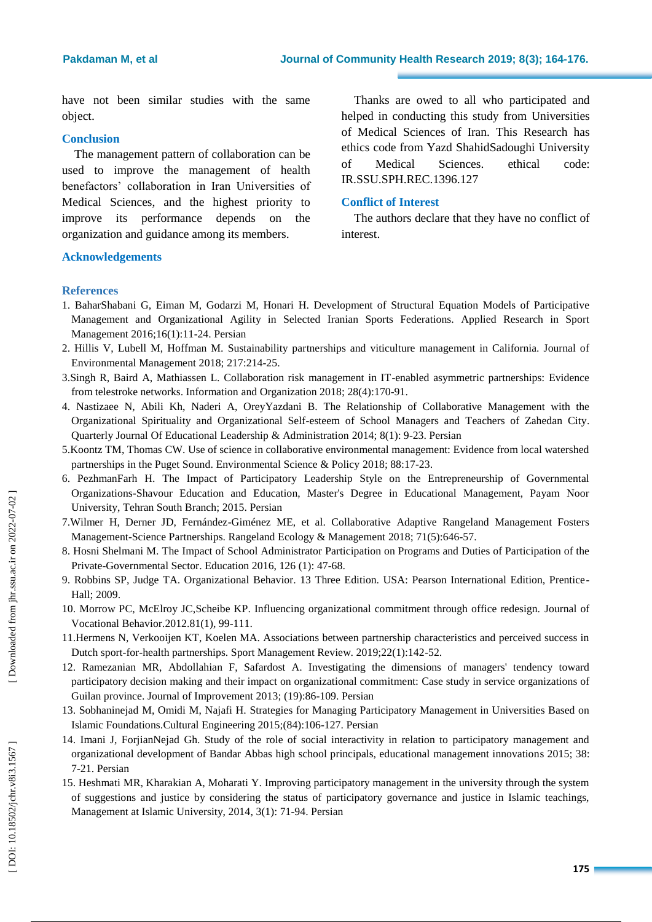have not been similar studies with the same object .

# **Conclusion**

The management pattern of collaboration can be used to improve the management of health benefactors' collaboration in Iran Universities of Medical Sciences, and the highest priority to improve its performance depends on the organization and guidance among its members.

#### **Acknowledgement s**

Thanks are owed to all who participated and helped in conducting this study from Universities of Medical Sciences of Iran. This Research has ethics code from Yazd ShahidSadoughi University of Medical Sciences. ethical code: IR.SSU.SPH.REC.1396.127

#### **Conflict of Interest**

The authors declare that they have no conflict of interest.

#### **References**

- 1. BaharShabani G, Eiman M, Godarzi M, Honari H. Development of Structural Equation Models of Participative Management and Organizational Agility in Selected Iranian Sports Federations. Applied Research in Sport Management 2016;16(1):11 -24. Persian
- 2. Hillis V, Lubell M, Hoffman M. Sustainability partnerships and viticulture management in California. Journal of Environmental Management 2018; 217:214 -25.
- 3.Singh R, Baird A, Mathiassen L. Collaboration risk management in IT -enabled asymmetric partnerships: Evidence from telestroke networks. Information and Organization 2018; 28(4):170 -91.
- 4. Nastizaee N, Abili Kh , Naderi A , OreyYazdani B. The Relationship of Collaborative Management with the Organizational Spirituality and Organizational Self -esteem of School Managers and Teachers of Zahedan City. Quarterly Journal Of Educational Leadership & Administration 2014; 8(1): 9 -23. Persian
- 5.Koontz TM, Thomas CW. Use of science in collaborative environmental management: Evidence from local watershed partnerships in the Puget Sound. Environmental Science & Policy 2018; 88:17 -23.
- 6. PezhmanFarh H . The Impact of Participatory Leadership Style on the Entrepreneurship of Governmental Organizations -Shavour Education and Education, Master's Degree in Educational Management, Payam Noor University, Tehran South Branch; 2015. Persian
- 7.Wilmer H, Derner JD, Fernández -Giménez ME, et al. Collaborative Adaptive Rangeland Management Fosters Management -Science Partnerships. Rangeland Ecology & Management 2018; 71(5):646 -57.
- 8. Hosni Shelmani M . The Impact of School Administrator Participation on Programs and Duties of Participation of the Private-Governmental Sector. Education 2016, 126 (1): 47-68.
- 9. Robbins SP, Judge TA. Organizational Behavior. 13 Three Edition. USA: Pearson International Edition, Prentice Hall; 2009.
- 10. Morro w P C, McElroy JC ,Scheibe KP. Influencing organizational commitment through office redesign. Journal of Vocational Behavior.2012.81(1), 99 -111.
- 11.Hermens N, Verkooijen KT, Koelen MA. Associations between partnership characteristics and perceived success in Dutch sport -for -health partnerships. Sport Management Review. 2019;22(1):142 -52.
- 12. Ramezanian MR , Abdollahian F , Safardost A. Investigating the dimensions of managers' tendency toward participatory decision making and their impact on organizational commitment: Case study in service organizations of Guilan province. Journal of Improvement 2013; (19):86-109. Persian
- 13. Sobhaninejad M, Omidi M, Najafi H. Strategies for Managing Participatory Management in Universities Based on Islamic Foundations .Cultural Engineering 2015;(84):106 -127. Persian
- 14. Imani J, ForjianNejad Gh. Study of the role of social interactivity in relation to participatory management and organizational development of Bandar Abbas high school principals, educational management innovations 2015; 38 : 7 -21. Persian
- 15. Heshmati MR, Kharakian A, Moharati Y. Improving participatory management in the university through the system of suggestions and justice by considering the status of participatory governance and justice in Islamic teachings, Management at Islamic University, 2014, 3(1): 71-94. Persian